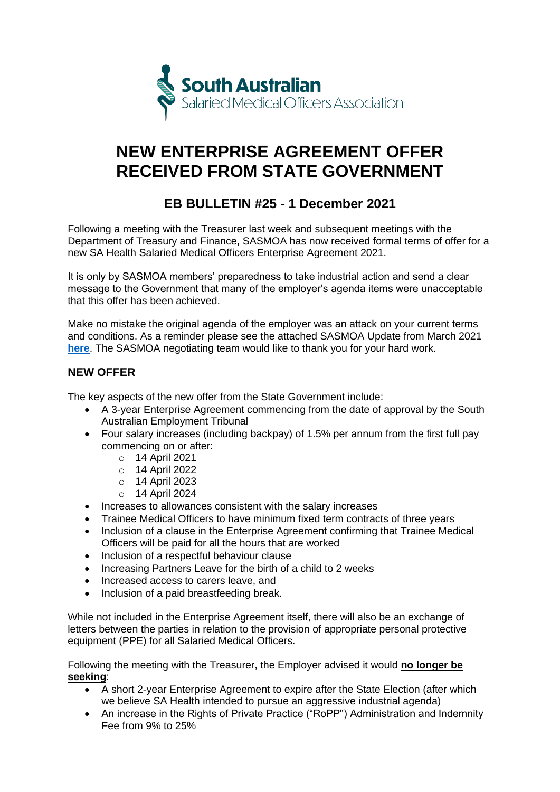

# **NEW ENTERPRISE AGREEMENT OFFER RECEIVED FROM STATE GOVERNMENT**

# **EB BULLETIN #25 - 1 December 2021**

Following a meeting with the Treasurer last week and subsequent meetings with the Department of Treasury and Finance, SASMOA has now received formal terms of offer for a new SA Health Salaried Medical Officers Enterprise Agreement 2021.

It is only by SASMOA members' preparedness to take industrial action and send a clear message to the Government that many of the employer's agenda items were unacceptable that this offer has been achieved.

Make no mistake the original agenda of the employer was an attack on your current terms and conditions. As a reminder please see the attached SASMOA Update from March 2021 **[here](https://7e1c5531-22b1-4a59-9cd7-4a9a01c9c631.filesusr.com/ugd/cd0062_d2f9adcefc994e1d903225b429478a0e.pdf)**. The SASMOA negotiating team would like to thank you for your hard work.

## **NEW OFFER**

The key aspects of the new offer from the State Government include:

- A 3-year Enterprise Agreement commencing from the date of approval by the South Australian Employment Tribunal
- Four salary increases (including backpay) of 1.5% per annum from the first full pay commencing on or after:
	- o 14 April 2021
	- $\circ$  14 April 2022
	- o 14 April 2023
	- o 14 April 2024
- Increases to allowances consistent with the salary increases
- Trainee Medical Officers to have minimum fixed term contracts of three years
- Inclusion of a clause in the Enterprise Agreement confirming that Trainee Medical Officers will be paid for all the hours that are worked
- Inclusion of a respectful behaviour clause
- Increasing Partners Leave for the birth of a child to 2 weeks
- Increased access to carers leave, and
- Inclusion of a paid breastfeeding break.

While not included in the Enterprise Agreement itself, there will also be an exchange of letters between the parties in relation to the provision of appropriate personal protective equipment (PPE) for all Salaried Medical Officers.

Following the meeting with the Treasurer, the Employer advised it would **no longer be seeking**:

- A short 2-year Enterprise Agreement to expire after the State Election (after which we believe SA Health intended to pursue an aggressive industrial agenda)
- An increase in the Rights of Private Practice ("RoPP") Administration and Indemnity Fee from 9% to 25%